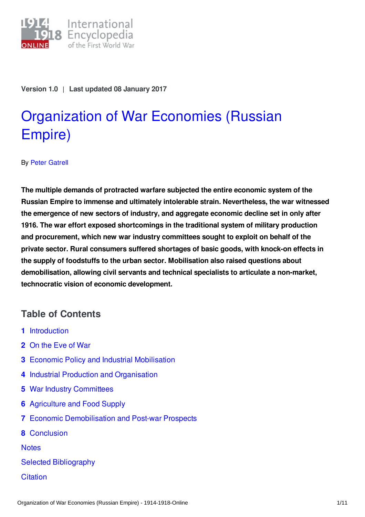

**Version 1.0** | **Last updated 08 January 2017**

# [Organization](http://encyclopedia.1914-1918-online.net/article/organization_of_war_economies_russian_empire) of War Economies (Russian Empire)

By Peter [Gatrell](http://encyclopedia.1914-1918-online.net/contributors/Peter_Gatrell)

**The multiple demands of protracted warfare subjected the entire economic system of the Russian Empire to immense and ultimately intolerable strain. Nevertheless, the war witnessed the emergence of new sectors of industry, and aggregate economic decline set in only after 1916. The war effort exposed shortcomings in the traditional system of military production and procurement, which new war industry committees sought to exploit on behalf of the private sector. Rural consumers suffered shortages of basic goods, with knock-on effects in the supply of foodstuffs to the urban sector. Mobilisation also raised questions about demobilisation, allowing civil servants and technical specialists to articulate a non-market, technocratic vision of economic development.**

### **Table of Contents**

- **1** [Introduction](#page-1-0)
- **2** On the [Eve](#page-1-1) of War
- **3** Economic Policy and Industrial [Mobilisation](#page-1-2)
- **4** Industrial Production and [Organisation](#page-2-0)
- **5** War Industry [Committees](#page-3-0)
- **6** [Agriculture](#page-4-0) and Food Supply
- **7** Economic [Demobilisation](#page-5-0) and Post-war Prospects
- **8** [Conclusion](#page-6-0)

**[Notes](#page-7-0)** 

- Selected [Bibliography](#page-9-0)
- **[Citation](#page-10-0)**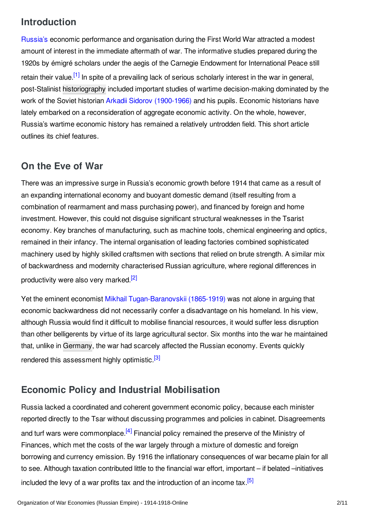# <span id="page-1-0"></span>**Introduction**

<span id="page-1-3"></span>[Russia's](/article/russian_empire) economic performance and organisation during the First World War attracted a modest amount of interest in the immediate aftermath of war. The informative studies prepared during the 1920s by émigré scholars under the aegis of the Carnegie Endowment for International Peace still retain their value.<sup>[\[1\]](#page-7-1)</sup> In spite of a prevailing lack of serious scholarly interest in the war in general, post-Stalinist [historiography](/article/historiography_1918-today_russian_empire) included important studies of wartime decision-making dominated by the work of the Soviet historian Arkadii Sidorov [\(1900-1966\)](/index/names/122230086) and his pupils. Economic historians have lately embarked on a reconsideration of aggregate economic activity. On the whole, however, Russia's wartime economic history has remained a relatively untrodden field. This short article outlines its chief features.

## <span id="page-1-1"></span>**On the Eve of War**

There was an impressive surge in Russia's economic growth before 1914 that came as a result of an expanding international economy and buoyant domestic demand (itself resulting from a combination of rearmament and mass purchasing power), and financed by foreign and home investment. However, this could not disguise significant structural weaknesses in the Tsarist economy. Key branches of manufacturing, such as machine tools, chemical engineering and optics, remained in their infancy. The internal organisation of leading factories combined sophisticated machinery used by highly skilled craftsmen with sections that relied on brute strength. A similar mix of backwardness and modernity characterised Russian agriculture, where regional differences in productivity were also very marked.<sup>[\[2\]](#page-7-2)</sup>

<span id="page-1-4"></span>Yet the eminent economist Mikhail [Tugan-Baranovskii](/index/names/119333902) (1865-1919) was not alone in arguing that economic backwardness did not necessarily confer a disadvantage on his homeland. In his view, although Russia would find it difficult to mobilise financial resources, it would suffer less disruption than other belligerents by virtue of its large agricultural sector. Six months into the war he maintained that, unlike in [Germany](/article/germany), the war had scarcely affected the Russian economy. Events quickly rendered this assessment highly optimistic.<sup>[\[3\]](#page-7-3)</sup>

## <span id="page-1-5"></span><span id="page-1-2"></span>**Economic Policy and Industrial Mobilisation**

<span id="page-1-7"></span><span id="page-1-6"></span>Russia lacked a coordinated and coherent government economic policy, because each minister reported directly to the Tsar without discussing programmes and policies in cabinet. Disagreements and turf wars were commonplace.<sup>[\[4\]](#page-7-4)</sup> Financial policy remained the preserve of the Ministry of Finances, which met the costs of the war largely through a mixture of domestic and foreign borrowing and currency emission. By 1916 the inflationary consequences of war became plain for all to see. Although taxation contributed little to the financial war effort, important – if belated –initiatives included the levy of a war profits tax and the introduction of an income tax.<sup>[\[5\]](#page-7-5)</sup>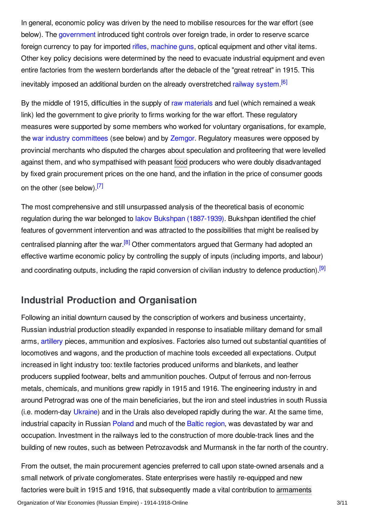In general, economic policy was driven by the need to mobilise resources for the war effort (see below). The [government](/article/governments_parliaments_and_parties_russian_empire) introduced tight controls over foreign trade, in order to reserve scarce foreign currency to pay for imported [rifles](/article/rifles), [machine](/article/machine_gun) guns, optical equipment and other vital items. Other key policy decisions were determined by the need to evacuate industrial equipment and even entire factories from the western borderlands after the debacle of the "great retreat" in 1915. This inevitably imposed an additional burden on the already overstretched railway [system](/article/railways_russian_empire).<sup>[\[6\]](#page-8-0)</sup>

<span id="page-2-1"></span>By the middle of 1915, difficulties in the supply of raw [materials](/article/raw_materials) and fuel (which remained a weak link) led the government to give priority to firms working for the war effort. These regulatory measures were supported by some members who worked for voluntary organisations, for example, the war industry [committees](/article/war_industry_committees) (see below) and by [Zemgor](/article/union_of_zemstvos_and_towns). Regulatory measures were opposed by provincial merchants who disputed the charges about speculation and profiteering that were levelled against them, and who sympathised with peasant [food](/article/food_and_nutrition_russian_empire) producers who were doubly disadvantaged by fixed grain procurement prices on the one hand, and the inflation in the price of consumer goods on the other (see below).<sup>[\[7\]](#page-8-1)</sup>

<span id="page-2-3"></span><span id="page-2-2"></span>The most comprehensive and still unsurpassed analysis of the theoretical basis of economic regulation during the war belonged to Iakov Bukshpan [\(1887-1939\)](/index/names/1063004225). Bukshpan identified the chief features of government intervention and was attracted to the possibilities that might be realised by centralised planning after the war.<sup>[\[8\]](#page-8-2)</sup> Other commentators argued that Germany had adopted an effective wartime economic policy by controlling the supply of inputs (including imports, and labour) and coordinating outputs, including the rapid conversion of civilian industry to defence production).<sup>[\[9\]](#page-8-3)</sup>

# <span id="page-2-4"></span><span id="page-2-0"></span>**Industrial Production and Organisation**

Following an initial downturn caused by the conscription of workers and business uncertainty, Russian industrial production steadily expanded in response to insatiable military demand for small arms, [artillery](/article/artillery) pieces, ammunition and explosives. Factories also turned out substantial quantities of locomotives and wagons, and the production of machine tools exceeded all expectations. Output increased in light industry too: textile factories produced uniforms and blankets, and leather producers supplied footwear, belts and ammunition pouches. Output of ferrous and non-ferrous metals, chemicals, and munitions grew rapidly in 1915 and 1916. The engineering industry in and around Petrograd was one of the main beneficiaries, but the iron and steel industries in south Russia (i.e. modern-day [Ukraine](/article/ukraine)) and in the Urals also developed rapidly during the war. At the same time, industrial capacity in Russian [Poland](/article/poland) and much of the Baltic [region](/article/baltic_states_and_finland), was devastated by war and occupation. Investment in the railways led to the construction of more double-track lines and the building of new routes, such as between Petrozavodsk and Murmansk in the far north of the country.

From the outset, the main procurement agencies preferred to call upon state-owned arsenals and a small network of private conglomerates. State enterprises were hastily re-equipped and new factories were built in 1915 and 1916, that [subsequently](/article/armaments_production) made a vital contribution to armaments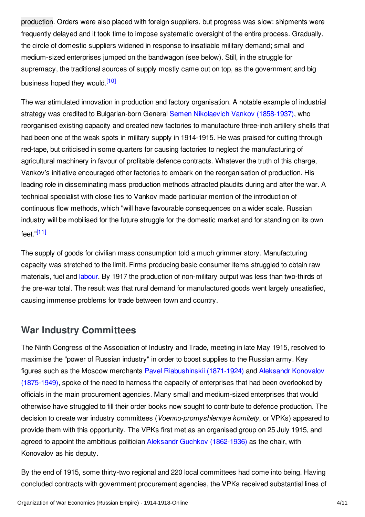production. Orders were also placed with foreign suppliers, but progress was slow: shipments were frequently delayed and it took time to impose systematic oversight of the entire process. Gradually, the circle of domestic suppliers widened in response to insatiable military demand; small and medium-sized enterprises jumped on the bandwagon (see below). Still, in the struggle for supremacy, the traditional sources of supply mostly came out on top, as the government and big business hoped they would.<sup>[\[10\]](#page-8-4)</sup>

<span id="page-3-1"></span>The war stimulated innovation in production and factory organisation. A notable example of industrial strategy was credited to Bulgarian-born General Semen Nikolaevich Vankov [\(1858-1937\)](/index/names/1063042259), who reorganised existing capacity and created new factories to manufacture three-inch artillery shells that had been one of the weak spots in military supply in 1914-1915. He was praised for cutting through red-tape, but criticised in some quarters for causing factories to neglect the manufacturing of agricultural machinery in favour of profitable defence contracts. Whatever the truth of this charge, Vankov's initiative encouraged other factories to embark on the reorganisation of production. His leading role in disseminating mass production methods attracted plaudits during and after the war. A technical specialist with close ties to Vankov made particular mention of the introduction of continuous flow methods, which "will have favourable consequences on a wider scale. Russian industry will be mobilised for the future struggle for the domestic market and for standing on its own feet." [\[11\]](#page-8-5)

<span id="page-3-2"></span>The supply of goods for civilian mass consumption told a much grimmer story. Manufacturing capacity was stretched to the limit. Firms producing basic consumer items struggled to obtain raw materials, fuel and [labour](/article/labour_russian_empire). By 1917 the production of non-military output was less than two-thirds of the pre-war total. The result was that rural demand for manufactured goods went largely unsatisfied, causing immense problems for trade between town and country.

#### <span id="page-3-0"></span>**War Industry Committees**

The Ninth Congress of the Association of Industry and Trade, meeting in late May 1915, resolved to maximise the "power of Russian industry" in order to boost supplies to the Russian army. Key figures such as the Moscow merchants Pavel [Riabushinskii](/index/names/119267012) (1871-1924) and Aleksandr Konovalov (1875-1949), spoke of the need to harness the capacity of enterprises that had been overlooked by officials in the main procurement agencies. Many small and medium-sized enterprises that would otherwise have struggled to fill their order books now sought to contribute to defence production. The decision to create war industry committees (*Voenno-promyshlennye komitety*, or VPKs) appeared to provide them with this opportunity. The VPKs first met as an organised group on 25 July 1915, and agreed to appoint the ambitious politician Aleksandr Guchkov [\(1862-1936\)](/index/names/118698826) as the chair, with Konovalov as his deputy.

By the end of 1915, some thirty-two regional and 220 local committees had come into being. Having concluded contracts with government procurement agencies, the VPKs received substantial lines of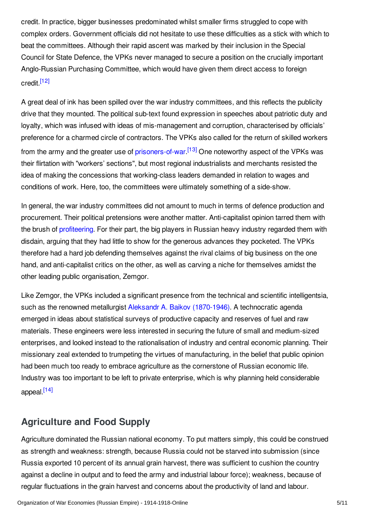credit. In practice, bigger businesses predominated whilst smaller firms struggled to cope with complex orders. Government officials did not hesitate to use these difficulties as a stick with which to beat the committees. Although their rapid ascent was marked by their inclusion in the Special Council for State Defence, the VPKs never managed to secure a position on the crucially important Anglo-Russian Purchasing Committee, which would have given them direct access to foreign credit.<sup>[\[12\]](#page-8-6)</sup>

<span id="page-4-2"></span><span id="page-4-1"></span>A great deal of ink has been spilled over the war industry committees, and this reflects the publicity drive that they mounted. The political sub-text found expression in speeches about patriotic duty and loyalty, which was infused with ideas of mis-management and corruption, characterised by officials' preference for a charmed circle of contractors. The VPKs also called for the return of skilled workers from the army and the greater use of [prisoners-of-war](/article/prisoners_of_war_russian_empire).<sup>[\[13\]](#page-8-7)</sup> One noteworthy aspect of the VPKs was their flirtation with "workers' sections", but most regional industrialists and merchants resisted the idea of making the concessions that working-class leaders demanded in relation to wages and conditions of work. Here, too, the committees were ultimately something of a side-show.

In general, the war industry committees did not amount to much in terms of defence production and procurement. Their political pretensions were another matter. Anti-capitalist opinion tarred them with the brush of [profiteering](/article/war_profiteers). For their part, the big players in Russian heavy industry regarded them with disdain, arguing that they had little to show for the generous advances they pocketed. The VPKs therefore had a hard job defending themselves against the rival claims of big business on the one hand, and anti-capitalist critics on the other, as well as carving a niche for themselves amidst the other leading public organisation, Zemgor.

Like Zemgor, the VPKs included a significant presence from the technical and scientific intelligentsia, such as the renowned metallurgist Aleksandr A. Baikov [\(1870-1946\)](/index/names/1048667154). A technocratic agenda emerged in ideas about statistical surveys of productive capacity and reserves of fuel and raw materials. These engineers were less interested in securing the future of small and medium-sized enterprises, and looked instead to the rationalisation of industry and central economic planning. Their missionary zeal extended to trumpeting the virtues of manufacturing, in the belief that public opinion had been much too ready to embrace agriculture as the cornerstone of Russian economic life. Industry was too important to be left to private enterprise, which is why planning held considerable appeal.<sup>[\[14\]](#page-8-8)</sup>

## <span id="page-4-3"></span><span id="page-4-0"></span>**Agriculture and Food Supply**

Agriculture dominated the Russian national economy. To put matters simply, this could be construed as strength and weakness: strength, because Russia could not be starved into submission (since Russia exported 10 percent of its annual grain harvest, there was sufficient to cushion the country against a decline in output and to feed the army and industrial labour force); weakness, because of regular fluctuations in the grain harvest and concerns about the productivity of land and labour.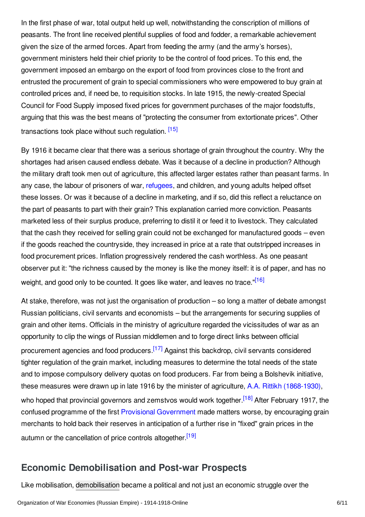In the first phase of war, total output held up well, notwithstanding the conscription of millions of peasants. The front line received plentiful supplies of food and fodder, a remarkable achievement given the size of the armed forces. Apart from feeding the army (and the army's horses), government ministers held their chief priority to be the control of food prices. To this end, the government imposed an embargo on the export of food from provinces close to the front and entrusted the procurement of grain to special commissioners who were empowered to buy grain at controlled prices and, if need be, to requisition stocks. In late 1915, the newly-created Special Council for Food Supply imposed fixed prices for government purchases of the major foodstuffs, arguing that this was the best means of "protecting the consumer from extortionate prices". Other transactions took place without such regulation. <sup>[\[15\]](#page-8-9)</sup>

<span id="page-5-1"></span>By 1916 it became clear that there was a serious shortage of grain throughout the country. Why the shortages had arisen caused endless debate. Was it because of a decline in production? Although the military draft took men out of agriculture, this affected larger estates rather than peasant farms. In any case, the labour of prisoners of war, [refugees](/article/refugees), and children, and young adults helped offset these losses. Or was it because of a decline in marketing, and if so, did this reflect a reluctance on the part of peasants to part with their grain? This explanation carried more conviction. Peasants marketed less of their surplus produce, preferring to distil it or feed it to livestock. They calculated that the cash they received for selling grain could not be exchanged for manufactured goods – even if the goods reached the countryside, they increased in price at a rate that outstripped increases in food procurement prices. Inflation progressively rendered the cash worthless. As one peasant observer put it: "the richness caused by the money is like the money itself: it is of paper, and has no weight, and good only to be counted. It goes like water, and leaves no trace."<sup>[\[16\]](#page-8-10)</sup>

<span id="page-5-3"></span><span id="page-5-2"></span>At stake, therefore, was not just the organisation of production – so long a matter of debate amongst Russian politicians, civil servants and economists – but the arrangements for securing supplies of grain and other items. Officials in the ministry of agriculture regarded the vicissitudes of war as an opportunity to clip the wings of Russian middlemen and to forge direct links between official procurement agencies and food producers.<sup>[\[17\]](#page-8-11)</sup> Against this backdrop, civil servants considered tighter regulation of the grain market, including measures to determine the total needs of the state and to impose compulsory delivery quotas on food producers. Far from being a Bolshevik initiative, these measures were drawn up in late 1916 by the minister of agriculture, A.A. Rittikh [\(1868-1930\)](/index/names/1063043565), who hoped that provincial governors and zemstvos would work together.<sup>[\[18\]](#page-8-12)</sup> After February 1917, the confused programme of the first Provisional [Government](/article/provisional_government) made matters worse, by encouraging grain merchants to hold back their reserves in anticipation of a further rise in "fixed" grain prices in the autumn or the cancellation of price controls altogether.<sup>[\[19\]](#page-9-1)</sup>

#### <span id="page-5-5"></span><span id="page-5-4"></span><span id="page-5-0"></span>**Economic Demobilisation and Post-war Prospects**

Like mobilisation, [demobilisation](/article/demobilization) became a political and not just an economic struggle over the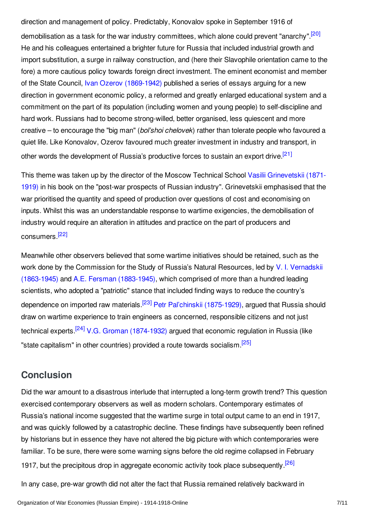<span id="page-6-1"></span>direction and management of policy. Predictably, Konovalov spoke in September 1916 of demobilisation as a task for the war industry committees, which alone could prevent "anarchy" <sup>[\[20\]](#page-9-2)</sup> He and his colleagues entertained a brighter future for Russia that included industrial growth and import substitution, a surge in railway construction, and (here their Slavophile orientation came to the fore) a more cautious policy towards foreign direct investment. The eminent economist and member of the State Council, Ivan Ozerov [\(1869-1942\)](/index/names/1037859456) published a series of essays arguing for a new direction in government economic policy, a reformed and greatly enlarged educational system and a commitment on the part of its population (including women and young people) to self-discipline and hard work. Russians had to become strong-willed, better organised, less quiescent and more creative – to encourage the "big man" (*bol'shoi chelovek*) rather than tolerate people who favoured a quiet life. Like Konovalov, Ozerov favoured much greater investment in industry and transport, in other words the development of Russia's productive forces to sustain an export drive.<sup>[\[21\]](#page-9-3)</sup>

<span id="page-6-2"></span>This theme was taken up by the director of the Moscow Technical School Vasilii Grinevetskii (1871- 1919) in his book on the "post-war prospects of Russian industry". Grinevetskii [emphasised](/index/names/1063044499) that the war prioritised the quantity and speed of production over questions of cost and economising on inputs. Whilst this was an understandable response to wartime exigencies, the demobilisation of industry would require an alteration in attitudes and practice on the part of producers and consumers.<sup>[\[22\]](#page-9-4)</sup>

<span id="page-6-4"></span><span id="page-6-3"></span>Meanwhile other observers believed that some wartime initiatives should be retained, such as the work done by the [Commission](/index/names/118631411) for the Study of Russia's Natural Resources, led by V. I. Vernadskii (1863-1945) and A.E. Fersman [\(1883-1945\)](/index/names/124019307), which comprised of more than a hundred leading scientists, who adopted a "patriotic" stance that included finding ways to reduce the country's dependence on imported raw materials.<sup>[\[23\]](#page-9-5)</sup> Petr Pal'chinskii [\(1875-1929\)](/index/names/105172015X), argued that Russia should draw on wartime experience to train engineers as concerned, responsible citizens and not just technical experts.<sup>[\[24\]](#page-9-6)</sup> V.G. Groman [\(1874-1932\)](/index/names/1037994795) argued that economic regulation in Russia (like "state capitalism" in other countries) provided a route towards socialism.<sup>[\[25\]](#page-9-7)</sup>

### <span id="page-6-6"></span><span id="page-6-5"></span><span id="page-6-0"></span>**Conclusion**

Did the war amount to a disastrous interlude that interrupted a long-term growth trend? This question exercised contemporary observers as well as modern scholars. Contemporary estimates of Russia's national income suggested that the wartime surge in total output came to an end in 1917, and was quickly followed by a catastrophic decline. These findings have subsequently been refined by historians but in essence they have not altered the big picture with which contemporaries were familiar. To be sure, there were some warning signs before the old regime collapsed in February 1917, but the precipitous drop in aggregate economic activity took place subsequently.<sup>[\[26\]](#page-9-8)</sup>

<span id="page-6-7"></span>In any case, pre-war growth did not alter the fact that Russia remained relatively backward in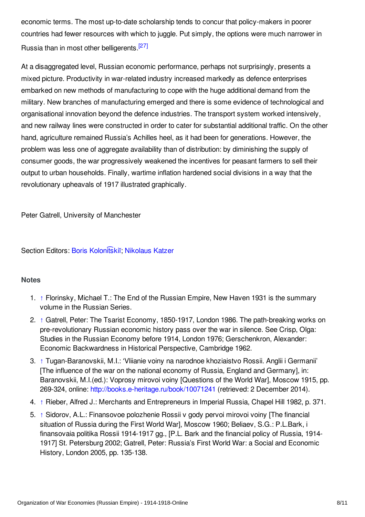economic terms. The most up-to-date scholarship tends to concur that policy-makers in poorer countries had fewer resources with which to juggle. Put simply, the options were much narrower in Russia than in most other belligerents.<sup>[\[27\]](#page-9-9)</sup>

<span id="page-7-6"></span>At a disaggregated level, Russian economic performance, perhaps not surprisingly, presents a mixed picture. Productivity in war-related industry increased markedly as defence enterprises embarked on new methods of manufacturing to cope with the huge additional demand from the military. New branches of manufacturing emerged and there is some evidence of technological and organisational innovation beyond the defence industries. The transport system worked intensively, and new railway lines were constructed in order to cater for substantial additional traffic. On the other hand, agriculture remained Russia's Achilles heel, as it had been for generations. However, the problem was less one of aggregate availability than of distribution: by diminishing the supply of consumer goods, the war progressively weakened the incentives for peasant farmers to sell their output to urban households. Finally, wartime inflation hardened social divisions in a way that the revolutionary upheavals of 1917 illustrated graphically.

Peter Gatrell, University of Manchester

Section Editors: Boris [Kolonit](http://encyclopedia.1914-1918-online.net/contributors/Boris_Kolonickij)skiĭ; [Nikolaus](http://encyclopedia.1914-1918-online.net/contributors/Nikolaus_Katzer) Katzer

#### <span id="page-7-0"></span>**Notes**

- <span id="page-7-1"></span>1. [↑](#page-1-3) Florinsky, Michael T.: The End of the Russian Empire, New Haven 1931 is the summary volume in the Russian Series.
- <span id="page-7-2"></span>2. [↑](#page-1-4) Gatrell, Peter: The Tsarist Economy, 1850-1917, London 1986. The path-breaking works on pre-revolutionary Russian economic history pass over the war in silence. See Crisp, Olga: Studies in the Russian Economy before 1914, London 1976; Gerschenkron, Alexander: Economic Backwardness in Historical Perspective, Cambridge 1962.
- <span id="page-7-3"></span>3. [↑](#page-1-5) Tugan-Baranovskii, M.I.: 'Vliianie voiny na narodnoe khoziaistvo Rossii. Anglii i Germanii' [The influence of the war on the national economy of Russia, England and Germany], in: Baranovskii, M.I.(ed.): Voprosy mirovoi voiny [Questions of the World War], Moscow 1915, pp. 269-324, online: <http://books.e-heritage.ru/book/10071241> (retrieved: 2 December 2014).
- <span id="page-7-4"></span>4. [↑](#page-1-6) Rieber, Alfred J.: Merchants and Entrepreneurs in Imperial Russia, Chapel Hill 1982, p. 371.
- <span id="page-7-5"></span>5. [↑](#page-1-7) Sidorov, A.L.: Finansovoe polozhenie Rossii v gody pervoi mirovoi voiny [The financial situation of Russia during the First World War], Moscow 1960; Beliaev, S.G.: P.L.Bark, i finansovaia politika Rossii 1914-1917 gg., [P.L. Bark and the financial policy of Russia, 1914- 1917] St. Petersburg 2002; Gatrell, Peter: Russia's First World War: a Social and Economic History, London 2005, pp. 135-138.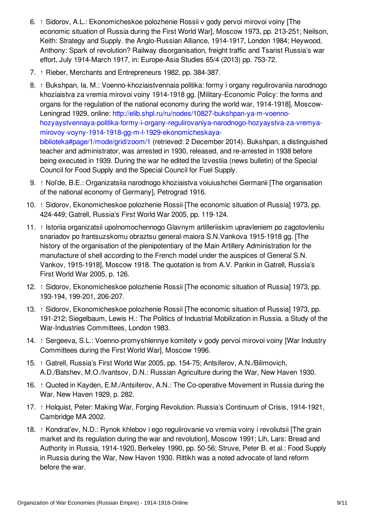- <span id="page-8-0"></span>6. [↑](#page-2-1) Sidorov, A.L.: Ekonomicheskoe polozhenie Rossii v gody pervoi mirovoi voiny [The economic situation of Russia during the First World War], Moscow 1973, pp. 213-251; Neilson, Keith: Strategy and Supply. the Anglo-Russian Alliance, 1914-1917, London 1984; Heywood, Anthony: Spark of revolution? Railway disorganisation, freight traffic and Tsarist Russia's war effort, July 1914-March 1917, in: Europe-Asia Studies 65/4 (2013) pp. 753-72.
- <span id="page-8-1"></span>7. [↑](#page-2-2) Rieber, Merchants and Entrepreneurs 1982, pp. 384-387.
- <span id="page-8-2"></span>8. [↑](#page-2-3) Bukshpan, Ia. M.: Voenno-khoziaistvennaia politika: formy i organy regulirovaniia narodnogo khoziaistva za vremia mirovoi voiny 1914-1918 gg. [Military-Economic Policy: the forms and organs for the regulation of the national economy during the world war, 1914-1918], Moscow-Leningrad 1929, online: http://elib.shpl.ru/ru/nodes/10827-bukshpan-ya-m-voenno[hozyaystvennaya-politika-formy-i-organy-regulirovaniya-narodnogo-hozyaystva-za-vremya](http://elib.shpl.ru/ru/nodes/10827-bukshpan-ya-m-voenno-hozyaystvennaya-politika-formy-i-organy-regulirovaniya-narodnogo-hozyaystva-za-vremya-mirovoy-voyny-1914-1918-gg-m-l-1929-ekonomicheskaya-biblioteka#page/1/mode/grid/zoom/1)mirovoy-voyny-1914-1918-gg-m-l-1929-ekonomicheskayabiblioteka#page/1/mode/grid/zoom/1 (retrieved: 2 December 2014). Bukshpan, a distinguished teacher and administrator, was arrested in 1930, released, and re-arrested in 1938 before being executed in 1939. During the war he edited the Izvestiia (news bulletin) of the Special Council for Food Supply and the Special Council for Fuel Supply.
- <span id="page-8-3"></span>9. [↑](#page-2-4) Nol'de, B.E.: Organizatsiia narodnogo khoziaistva voiuiushchei Germanii [The organisation of the national economy of Germany], Petrograd 1916.
- <span id="page-8-4"></span>10. [↑](#page-3-1) Sidorov, Ekonomicheskoe polozhenie Rossii [The economic situation of Russia] 1973, pp. 424-449; Gatrell, Russia's First World War 2005, pp. 119-124.
- <span id="page-8-5"></span>11. [↑](#page-3-2) Istoriia organizatsii upolnomochennogo Glavnym artilleriiskim upravleniem po zagotovleniiu snariadov po frantsuzskomu obraztsu general-maiora S.N.Vankova 1915-1918 gg. [The history of the organisation of the plenipotentiary of the Main Artillery Administration for the manufacture of shell according to the French model under the auspices of General S.N. Vankov, 1915-1918], Moscow 1918. The quotation is from A.V. Pankin in Gatrell, Russia's First World War 2005, p. 126.
- <span id="page-8-6"></span>12. [↑](#page-4-1) Sidorov, Ekonomicheskoe polozhenie Rossii [The economic situation of Russia] 1973, pp. 193-194, 199-201, 206-207.
- <span id="page-8-7"></span>13. [↑](#page-4-2) Sidorov, Ekonomicheskoe polozhenie Rossii [The economic situation of Russia] 1973, pp. 191-212; Siegelbaum, Lewis H.: The Politics of Industrial Mobilization in Russia. a Study of the War-Industries Committees, London 1983.
- <span id="page-8-8"></span>14. [↑](#page-4-3) Sergeeva, S.L.: Voenno-promyshlennye komitety v gody pervoi mirovoi voiny [War Industry Committees during the First World War], Moscow 1996.
- <span id="page-8-9"></span>15. [↑](#page-5-1) Gatrell, Russia's First World War 2005, pp. 154-75; Antsiferov, A.N./Bilimovich, A.D./Batshev, M.O./Ivantsov, D.N.: Russian Agriculture during the War, New Haven 1930.
- <span id="page-8-10"></span>16. [↑](#page-5-2) Quoted in Kayden, E.M./Antsiferov, A.N.: The Co-operative Movement in Russia during the War, New Haven 1929, p. 282.
- <span id="page-8-11"></span>17. [↑](#page-5-3) Holquist, Peter: Making War, Forging Revolution. Russia's Continuum of Crisis, 1914-1921, Cambridge MA 2002.
- <span id="page-8-12"></span>18. [↑](#page-5-4) Kondrat'ev, N.D.: Rynok khlebov i ego regulirovanie vo vremia voiny i revoliutsii [The grain market and its regulation during the war and revolution], Moscow 1991; Lih, Lars: Bread and Authority in Russia, 1914-1920, Berkeley 1990, pp. 50-56; Struve, Peter B. et al.: Food Supply in Russia during the War, New Haven 1930. Rittikh was a noted advocate of land reform before the war.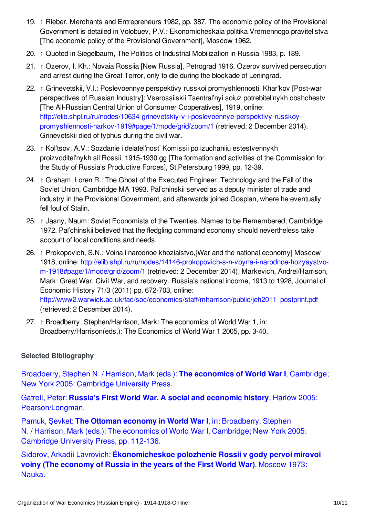- <span id="page-9-1"></span>19. [↑](#page-5-5) Rieber, Merchants and Entrepreneurs 1982, pp. 387. The economic policy of the Provisional Government is detailed in Volobuev, P.V.: Ekonomicheskaia politika Vremennogo pravitel'stva [The economic policy of the Provisional Government], Moscow 1962.
- <span id="page-9-2"></span>20. [↑](#page-6-1) Quoted in Siegelbaum, The Politics of Industrial Mobilization in Russia 1983, p. 189.
- <span id="page-9-3"></span>21. [↑](#page-6-2) Ozerov, I. Kh.: Novaia Rossiia [New Russia], Petrograd 1916. Ozerov survived persecution and arrest during the Great Terror, only to die during the blockade of Leningrad.
- <span id="page-9-4"></span>22. [↑](#page-6-3) Grinevetskii, V.I.: Poslevoennye perspektivy russkoi promyshlennosti, Khar'kov [Post-war perspectives of Russian Industry]: Vserossiiskii Tsentral'nyi soiuz potrebitel'nykh obshchestv [The All-Russian Central Union of Consumer Cooperatives], 1919, online: [http://elib.shpl.ru/ru/nodes/10634-grinevetskiy-v-i-poslevoennye-perspektivy-russkoy](http://elib.shpl.ru/ru/nodes/10634-grinevetskiy-v-i-poslevoennye-perspektivy-russkoy-promyshlennosti-harkov-1919#page/1/mode/grid/zoom/1)promyshlennosti-harkov-1919#page/1/mode/grid/zoom/1 (retrieved: 2 December 2014). Grinevetskii died of typhus during the civil war.
- <span id="page-9-5"></span>23. [↑](#page-6-4) Kol'tsov, A.V.: Sozdanie i deiatel'nost' Komissii po izuchaniiu estestvennykh proizvoditel'nykh sil Rossii, 1915-1930 gg [The formation and activities of the Commission for the Study of Russia's Productive Forces], St.Petersburg 1999, pp. 12-39.
- <span id="page-9-6"></span>24. [↑](#page-6-5) Graham, Loren R.: The Ghost of the Executed Engineer. Technology and the Fall of the Soviet Union, Cambridge MA 1993. Pal'chinskii served as a deputy minister of trade and industry in the Provisional Government, and afterwards joined Gosplan, where he eventually fell foul of Stalin.
- <span id="page-9-7"></span>25. [↑](#page-6-6) Jasny, Naum: Soviet Economists of the Twenties. Names to be Remembered, Cambridge 1972. Pal'chinskii believed that the fledgling command economy should nevertheless take account of local conditions and needs.
- <span id="page-9-8"></span>26. [↑](#page-6-7) Prokopovich, S.N.: Voina i narodnoe khoziaistvo,[War and the national economy] Moscow 1918, online: [http://elib.shpl.ru/ru/nodes/14146-prokopovich-s-n-voyna-i-narodnoe-hozyaystvo](http://elib.shpl.ru/ru/nodes/14146-prokopovich-s-n-voyna-i-narodnoe-hozyaystvo-m-1918#page/1/mode/grid/zoom/1)m-1918#page/1/mode/grid/zoom/1 (retrieved: 2 December 2014); Markevich, Andrei/Harrison, Mark: Great War, Civil War, and recovery. Russia's national income, 1913 to 1928, Journal of Economic History 71/3 (2011) pp. 672-703, online: [http://www2.warwick.ac.uk/fac/soc/economics/staff/mharrison/public/jeh2011\\_postprint.pdf](http://www2.warwick.ac.uk/fac/soc/economics/staff/mharrison/public/jeh2011_postprint.pdf) (retrieved: 2 December 2014).
- <span id="page-9-9"></span>27. [↑](#page-7-6) Broadberry, Stephen/Harrison, Mark: The economics of World War 1, in: Broadberry/Harrison(eds.): The Economics of World War 1 2005, pp. 3-40.

#### <span id="page-9-0"></span>**Selected Bibliography**

Broadberry, Stephen N. / Harrison, Mark (eds.): **The [economics](http://encyclopedia.1914-1918-online.net/bibliography/NCJ4GA9N) of World War I**, Cambridge; New York 2005: Cambridge University Press.

Gatrell, Peter: **Russia's First World War. A social and economic history**, Harlow 2005: [Pearson/Longman.](http://encyclopedia.1914-1918-online.net/bibliography/JDCFF6GK)

Pamuk, Şevket: **The Ottoman economy in World War I**, in: Broadberry, Stephen N. / Harrison, Mark (eds.): The economics of World War I, [Cambridge;](http://encyclopedia.1914-1918-online.net/bibliography/RHWC557A) New York 2005: Cambridge University Press, pp. 112-136.

Sidorov, Arkadii Lavrovich: **[Ėkonomicheskoe](http://encyclopedia.1914-1918-online.net/bibliography/8DF5H9VG) polozhenie Rossii v gody pervoi mirovoi voiny (The economy of Russia in the years of the First World War)**, Moscow 1973: Nauka.